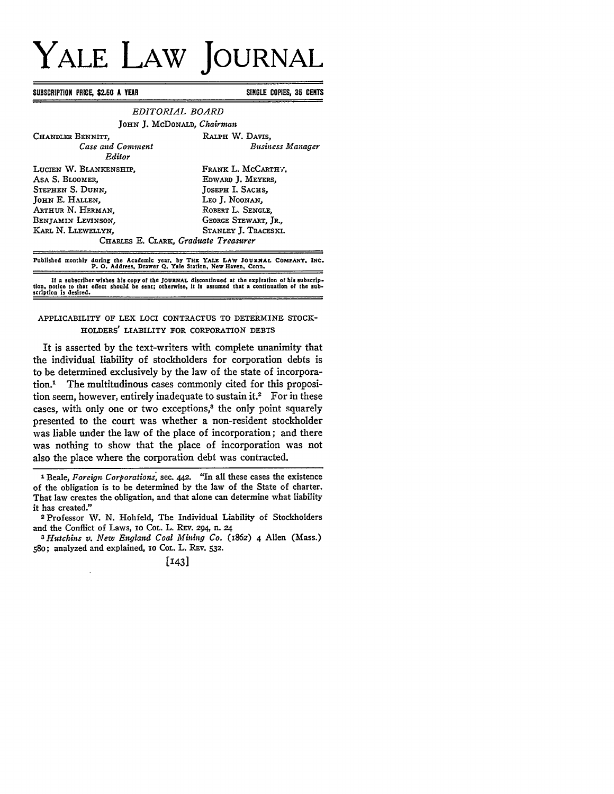# **YALE LAW JOURNAL**

**SUBSCRIPTION PRICE, \$2.50 A** YEAR **SINGLE COPIES, 35 CENTS**

| EDITORIAL BOARD                                                                                                                                                                           |                                                                                                                                                    |
|-------------------------------------------------------------------------------------------------------------------------------------------------------------------------------------------|----------------------------------------------------------------------------------------------------------------------------------------------------|
| JOHN J. McDONALD, Chairman                                                                                                                                                                |                                                                                                                                                    |
| CHANDLER BENNITT.<br>Case and Comment<br>Editor                                                                                                                                           | RALPH W. DAVIS.<br><b>Business Manager</b>                                                                                                         |
| LUCIEN W. BLANKENSHIP.<br>ASA S. BLOOMER.<br>STEPHEN S. DUNN.<br>JOHN E. HALLEN,<br>ARTHUR N. HERMAN.<br>BENJAMIN LEVINSON.<br>KARL N. LLEWELLYN.<br>CHARLES E. CLARK, Graduate Treasurer | FRANK L. MCCARTHY.<br>EDWARD J. MEYERS.<br>JOSEPH I. SACHS.<br>Leo J. Noonan,<br>ROBERT L. SENGLE.<br>GEORGE STEWART, JR.,<br>STANLEY J. TRACESKI. |
| Published monthly during the Academic year, by THE YALE LAW JOURNAL COMPANY, INC.<br>P. O. Address, Drawer Q. Yale Station, New Haven, Conn.                                              |                                                                                                                                                    |

If a subscriber wishes his copy of the **JOURNAL discontinued at** the expiration of his subscrip-**tion,** notice to that effect should **be** sent; otherwise, it is assumed that a continuation of the subscription **is** desired.

# APPLICABILITY OF LEX LOCI CONTRACTUS TO DETERMINE STOCK-HOLDERS' LIABILITY FOR CORPORATION DEBTS

It is asserted **by** the text-writers with complete unanimity that the individual liability of stockholders for corporation debts is to be determined exclusively by the law of the state of incorporation.' The multitudinous cases commonly cited for this proposition seem, however, entirely inadequate to sustain it.<sup>2</sup> For in these cases, with only one or two exceptions,<sup>3</sup> the only point squarely presented to the court was whether a non-resident stockholder was liable under the law of the place of incorporation; and there was nothing to show that the place of incorporation was not also the place where the corporation debt was contracted.

**I** Beale, *Foreign Corporations,* sec. 442. "In all these cases the existence of the obligation is to be determined by the law of the State of charter. That law creates the obligation, and that alone can determine what liability it has created." 2 Professor W. N. Hohfeld, The Individual Liability of Stockholders

and the Conflict of Laws, **IO** COL. L. REV. 294, n. 24

*S Hutchins v. New England Coal Mining Co.* (1862) 4 Allen (Mass.) **58o;** analyzed and explained, **10** COL. L. REV. 532.

**[143]**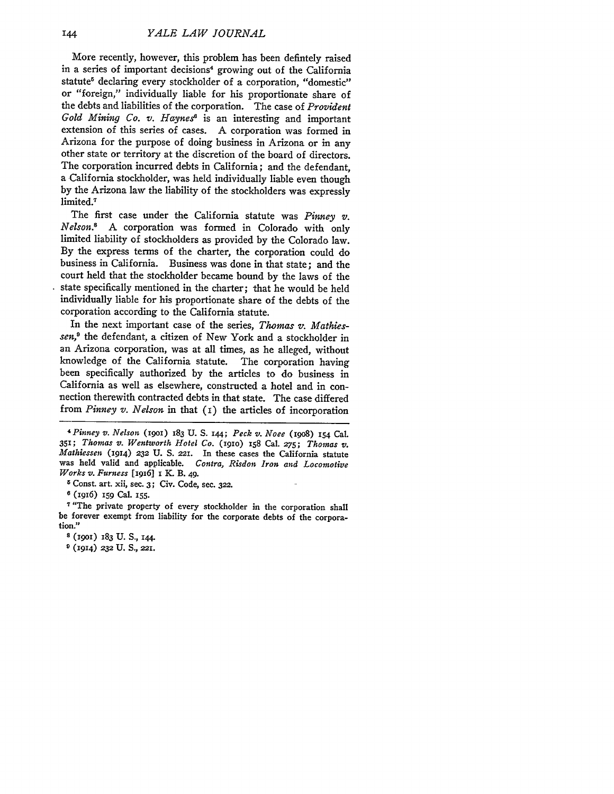More recently, however, this problem has been defintely raised in a series of important decisions<sup>4</sup> growing out of the California statute<sup>5</sup> declaring every stockholder of a corporation, "domestic" or "foreign," individually liable for his proportionate share of the debts and liabilities of the corporation. The case of *Provident* Gold Mining Co. v. Haynes<sup>8</sup> is an interesting and important extension of this series of cases. **A** corporation was formed in Arizona for the purpose of doing business in Arizona or in any other state or territory at the discretion of the board of directors. The corporation incurred debts in California; and the defendant, a California stockholder, was held individually liable even though **by** the Arizona law the liability of the stockholders was expressly limited.<sup>7</sup>

The first case under the California statute was *Pinney v. Nelson.8* **A** corporation was formed in Colorado with only limited liability of stockholders as provided **by** the Colorado law. **By** the express terms of the charter, the corporation could do business in California. Business was done in that state; and the court held that the stockholder became bound **by** the laws of the state specifically mentioned in the charter; that he would be held individually liable for his proportionate share of the debts of the corporation according to the California statute.

In the next important case of the series, *Thomas v. Mathiessen,9* the defendant, a citizen of New York and a stockholder in an Arizona corporation, was at all times, as he alleged, without knowledge of the California statute. The corporation having been specifically authorized **by** the articles to do business in California as well as elsewhere, constructed a hotel and in connection therewith contracted debts in that state. The case differed from *Pinney v. Nelson* in that (I) the articles of incorporation

*<sup>4</sup> Pinney v. Nelson* (19Oi) **183 U. S. 144;** *Peck v. Noee* **(19o8) 154** Cal. **35,;** *Thomas v. Wentworth Hotel Co.* (igio) **x58** Cal. *275; Thomas v. Mathiessen* (914) **232 U. S.** *221.* In these cases the California statute was held valid and applicable. *Contra, Risdon Iron and Locomotive Works v. Furness* [igi6] i K. B. 49.

**5** Const. art. xii, see. **3;** Civ. Code, sec. **322.**

**6** (1916) **159** Cal. **155.**

**7** "The private property of every stockholder in the corporation shall be forever exempt from liability for the corporate debts of the corporation."

**8 (i9oi) 183 U. S., I44.**

**9 (1914) 232 U.** S., *22I.*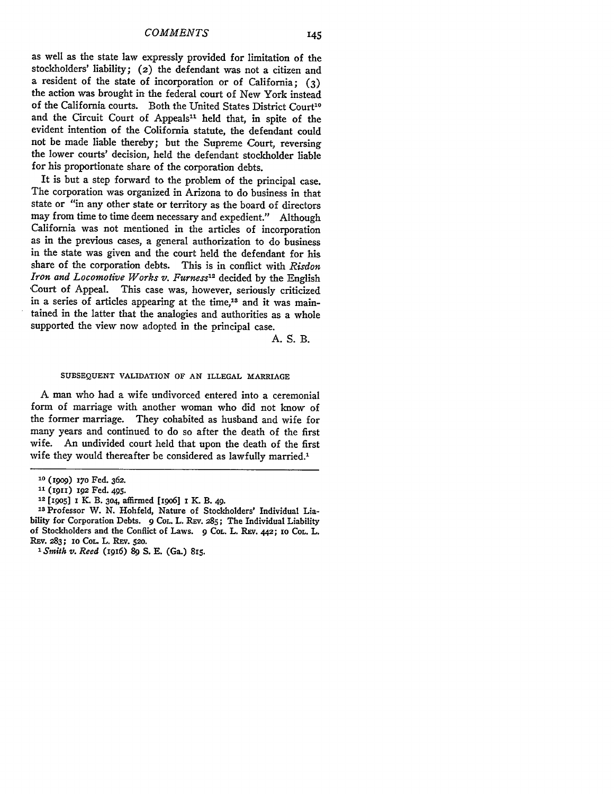as well as the state law expressly provided for limitation of the stockholders' liability; (2) the defendant was not a citizen and a resident of the state of incorporation or of California; **(3)** the action was brought in the federal court of New York instead of the California courts. Both the United States District Court<sup>10</sup> and the Circuit Court of Appeals<sup>11</sup> held that, in spite of the evident intention of the Colifornia statute, the defendant could not be made liable thereby; but the Supreme Court, reversing the lower courts' decision, held the defendant stockholder liable for his proportionate share of the corporation debts.

It is but a step forward to the problem of the principal case. The corporation was organized in Arizona to do business in that state or "in any other state or territory as the board of directors may from time to time deem necessary and expedient." Although California was not mentioned in the articles of incorporation as in the previous cases, a general authorization to do business in the state was given and the court held the defendant for his share of the corporation debts. This is in conflict with *Risdon Iron and Locomotive Works v. Furness12* decided **by** the English -Court of Appeal. This case was, however, seriously criticized in a series of articles appearing at the time,<sup>13</sup> and it was maintained in the latter that the analogies and authorities as a whole supported the view now adopted in the principal case.

**A. S.** B.

### **SUBSEQUENT** VALIDATION OF **AN ILLEGAL** MARRIAGE

A man who had a wife undivorced entered into a ceremonial form of marriage with another woman who did not know of the former marriage. They cohabited as husband and wife for many years and continued to do so after the death of the first wife. An undivided court held that upon the death of the first wife they would thereafter be considered as lawfully married.'

**<sup>10</sup>**(909) *i7o* Fed. 362.

**<sup>11 (1911) 192</sup>** Fed. 495.

**<sup>12 [</sup>J9o5] i K** B. **3o4,** affirmed [iqo6] x *K.* B. 49.

**Is Professor** W. N. Hohfeld, Nature of Stockholders' Individual Liability for Corporation Debts. **9** CoL. L. Rzv. **285;** The Individual Liability of Stockholders and the Conflict of Laws. **9** COL. L. Rzv. *442;* **1o COL.** L. Rzv. 283; **1o COL.** L. REV. **520.**

**<sup>&#</sup>x27;** *Smith v. Reed* (ig6) **89** S. E. (Ga.) 8r5.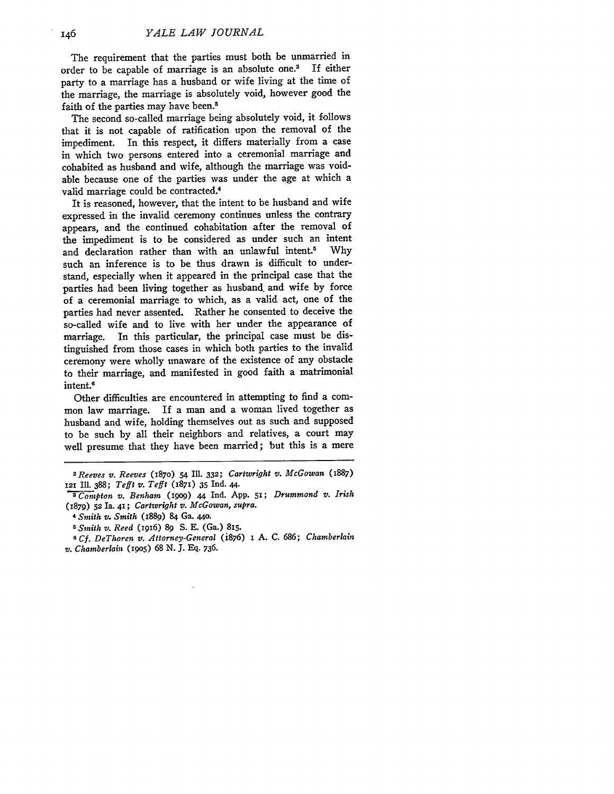The requirement that the parties must both be unmarried in<br>der to be capable of marriage is an absolute one.<sup>2</sup> If either order to be capable of marriage is an absolute one.<sup>2</sup> party to a marriage has a husband or wife living at the time of the marriage, the marriage is absolutely void, however good the faith of the parties may have been.<sup>8</sup>

The second so-called marriage being absolutely void, it follows that it is not capable of ratification upon the removal of the impediment. In this respect, it differs materially from a case in which two persons entered into a ceremonial marriage and cohabited as husband and wife, although the marriage was voidable because one of the parties was under the age at which a valid marriage could be contracted.<sup>4</sup>

It is reasoned, however, that the intent to be husband and wife expressed in the invalid ceremony continues unless the contrary appears, and the continued cohabitation after the removal of the impediment is to be considered as under such an intent<br>and declaration rather than with an unlawful intent.<sup>5</sup> Why and declaration rather than with an unlawful intent.<sup>5</sup> such an inference is to be thus drawn is difficult to understand, especially when it appeared in the principal case that the parties had been living together as husband, and wife by force of a ceremonial marriage to which, as a valid act, one of the parties had never assented. Rather he consented to deceive the so-called wife and to live with her under the appearance of marriage. In this particular, the principal case must be distinguished from those cases in which both parties to the invalid ceremony were wholly unaware of the existence of any obstacle to their marriage, and manifested in good faith a matrimonial intent.6

Other difficulties are encountered in attempting to find a common law marriage. If a man and a woman lived together as husband and wife, holding themselves out as such and supposed to be such by all their neighbors and relatives, a court may well presume that they have been married; but this is a mere

*<sup>2</sup> Reeves v. Reeves* (187o) 54 Ill. **332;** *Cartwright v. McGowan* (8887) **<sup>121</sup>**Ill. 388; *Tefft v. Tefft* (1871) **35** Ind. 44.

*C ompton v. Benham (1909)* 44 Ind. **App. 5,;** *Drummond v. Irish* (879) **52** Ia. **41;** *Cartwright v. McGowan, supra.*

*<sup>4</sup>Smith v. Smith* (1889) 84 Ga. **440.**

*<sup>5</sup>Smith v. Reed* (i96) **89 S. E.** (Ga.) **8,5.**

*<sup>6</sup> Cf. DeThoren v. Attorney-General* (i876) **i A. C.** *686; Chamberlain v. Chamberlain* **(1905) 68 N. J. Eq. 736.**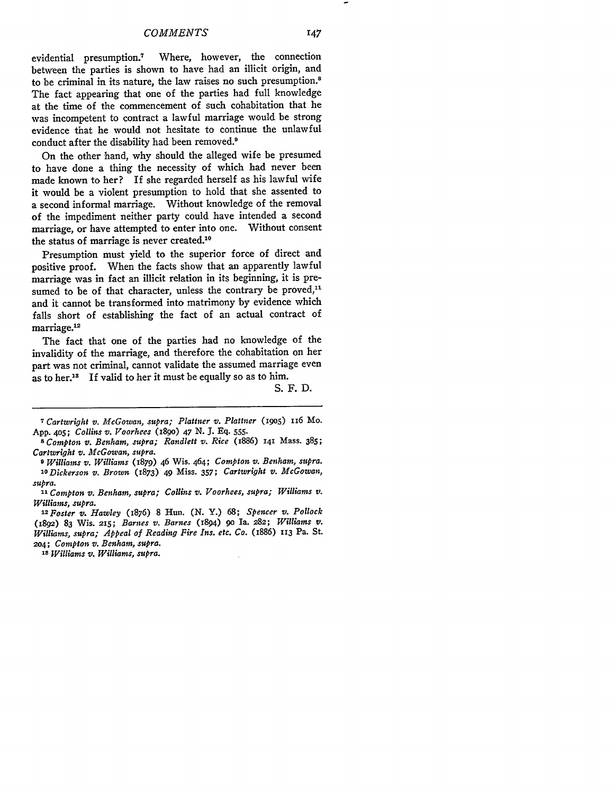evidential presumption.7 Where, however, the connection between the parties is shown to have had an illicit origin, and to be criminal in its nature, the law raises no such presumption.8 The fact appearing that one of the parties had full knowledge at the time of the commencement of such cohabitation that he was incompetent to contract a lawful marriage would be strong evidence that he would not hesitate to continue the unlawful conduct after the disability had been removed.<sup>9</sup>

On the other hand, why should the alleged wife be presumed to have done a thing the necessity of which had never been made known to her? If she regarded herself as his lawful wife it would be a violent presumption to hold that she assented to a second informal marriage. Without knowledge of the removal of the impediment neither party could have intended a second marriage, or have attempted to enter into one. Without consent the status of marriage is never created.<sup>10</sup>

Presumption must yield to the superior force of direct and positive proof. When the facts show that an apparently lawful marriage was in fact an illicit relation in its beginning, it is presumed to be of that character, unless the contrary be proved,<sup>11</sup> and it cannot be transformed into matrimony by evidence which falls short of establishing the fact of an actual contract of marriage.<sup>12</sup>

The fact that one of the parties had no knowledge of the invalidity of the marriage, and therefore the cohabitation on her part was not criminal, cannot validate the assumed marriage even as to her.<sup>18</sup> If valid to her it must be equally so as to him.

S. F. D.

*9 Williams v. Williams* (1879) 46 Wis. 464; *Compton v. Benham, supra. 'O Dickerson v. Brown* **(873)** 49 Miss. 357; *Cartwright v. McGowan, supra.*

*<sup>11</sup>Compton v. Benham, supra; Collins v. Voorhees, supra; Williams v.*

*Williams, supra. 12Foster v. Hawley* (1876) **8** Hun. **(N.** Y.) **68;** *Spencer v. Pollock* (1892) **83** Wis. **235;** Barnes *v. Barnes* (1894) *90* **Ia. 282;** *Williams v. Williams, supra; Appeal of Reading Fire Ins.* etc. *Co. (i886) ii3* **Pa. St.** *2o4; Compton v. Benham,* supra.

*is Williams v. Williams, supra.*

*<sup>7</sup>Cartwright v. McGowan, supra; Plattner v. Plattner* (i905) 116 Mo. **App. 4o5;** *Collins v. Voorhees* (igo) *47* **N. J. Eq. 555.**

*<sup>8</sup>Compton v. Benham, supra; Randlett v. Rice* (i886) **141** Mass. **385;** *Cartwright v. McGowan, supra.*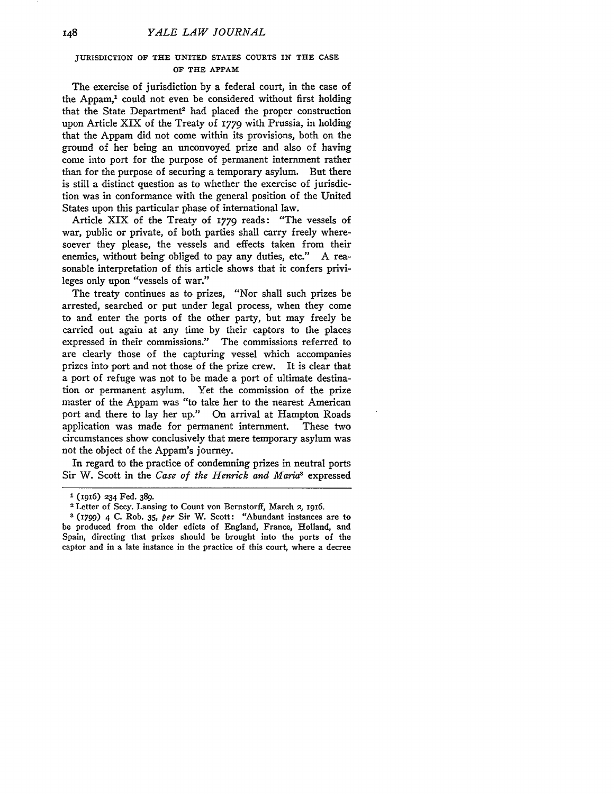# JURISDICTION OF THE **UNITED STATES COURTS** IN THE **CASE** OF THE APPAM

The exercise of jurisdiction by a federal court, in the case of the Appam,<sup>1</sup> could not even be considered without first holding that the State Department<sup>2</sup> had placed the proper construction upon Article XIX of the Treaty of 1779 with Prussia, in holding that the Appam did not come within its provisions, both on the ground of her being an unconvoyed prize and also of having come into port for the purpose of permanent internment rather than for the purpose of securing a temporary asylum. But there is still a distinct question as to whether the exercise of jurisdiction was in conformance with the general position of the United States upon this particular phase of international law.

Article XIX of the Treaty of 1779 reads: "The vessels of war, public or private, of both parties shall carry freely wheresoever they please, the vessels and effects taken from their enemies, without being obliged to pay any duties, etc." A reasonable interpretation of this article shows that it confers privileges only upon "vessels of war."

The treaty continues as to prizes, "Nor shall such prizes be arrested, searched or put under legal process, when they come to and enter the ports of the other party, but may freely be carried out again at any time by their captors to the places expressed in their commissions." The commissions referred to are clearly those of the capturing vessel which accompanies prizes into port and not those of the prize crew. It is clear that a port of refuge was not to be made a port of ultimate destination or permanent asylum. Yet the commission of the prize master of the Appam was "to take her to the nearest American port and there to lay her up." On arrival at Hampton Roads application was made for permanent internment. These two circumstances show conclusively that mere temporary asylum was not the object of the Appam's journey.

In regard to the practice of condemning prizes in neutral ports Sir W. Scott in the *Case of the Henrick and Maria3* expressed

**<sup>1</sup>** (1916) 234 Fed. **389.**

<sup>2</sup>Letter of Secy. Lansing to Count von Bernstorff, March 2, i916.

**<sup>3 (1799)</sup>** 4 C. Rob. 35, per Sir W. Scott: "Abundant instances are to be produced from the older edicts of England, France, Holland, and Spain, directing that prizes should be brought into the ports of the captor and in a late instance in the practice of this court, where a decree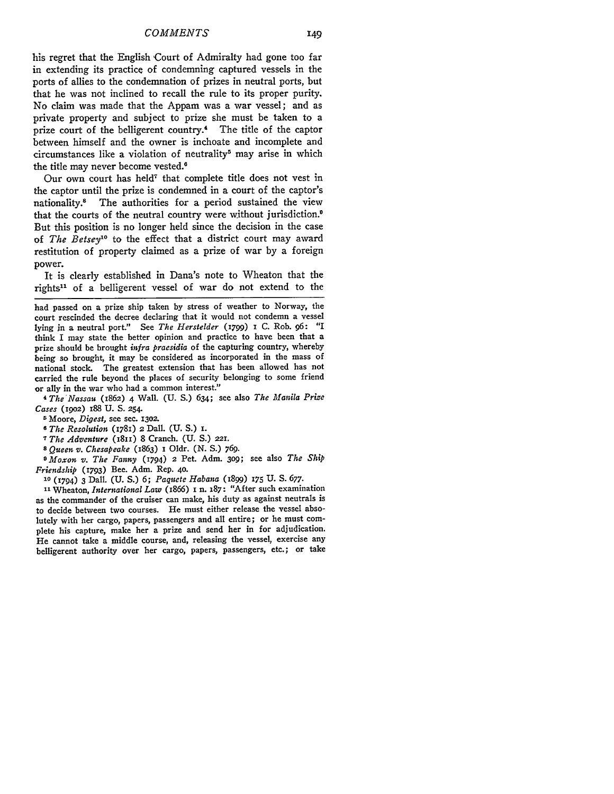**his** regret that the English Court of Admiralty had gone too far in extending its practice of condemning captured vessels in the ports of allies to the condemnation of prizes in neutral ports, but that he was not inclined to recall the rule to its proper purity. No claim was made that the Appam was a war vessel; and as private property and subject to prize she must be taken to a prize court of the belligerent country.4 The title of the captor between himself and the owner is inchoate and incomplete and circumstances like a violation of neutrality<sup>5</sup> may arise in which the title may never become vested.<sup>6</sup>

Our own court has held<sup>7</sup> that complete title does not vest in the captor until the prize is condemned in a court of the captor's nationality.<sup>8</sup> The authorities for a period sustained the view that the courts of the neutral country were without jurisdiction. $\theta$ But this position is no longer held since the decision in the case of *The Betsey' °* to the effect that a district court may award restitution of property claimed as a prize of war **by** a foreign power.

It is clearly established in Dana's note to Wheaton that the rights<sup>11</sup> of a belligerent vessel of war do not extend to the

had passed on a prize ship taken by stress of weather to Norway, the court rescinded the decree declaring that it would not condemn a vessel lying jn a neutral port." See *The Herstelder* (1799) **I** C. Rob. **96:** "I think I may state the better opinion and practice to have been that a prize should be brought *infra praesidia* of the capturing country, whereby being so brought, it may be considered as incorporated in the mass of national stock. The greatest extension that has been allowed has not carried the rule beyond the places of security belonging to some friend or ally in the war who had a common interest."

*4 The'Nassau* (1862) 4 Wall. **(U. S.)** 634; see also *The Manila Prize Cases* **(19o2)** 188 **U.** S. **254.**

5 Moore, *Digest,* see sec. **1302.**

**<sup>8</sup>***The Resolution* (1781) *2* DalI. **(U. S.) i.**

*7 The Adventure* (I811) **8** Cranch. **(U. S.)** *221.*

*8 Queen v. Chesapeake* (1863) 1 Oldr. **(N. S.) 769.**

*9 Moxon v. The Fanny* (1794) 2 Pet. Adm. **3o9;** see also *The Ship Friendship* (1793) Bee. Adm. Rep. **40.**

**<sup>10</sup>**(794) **3** Dall. **(U. S.) 6;** *Paquete Habana* (1899) **175 U. S.** *677.*

**<sup>11</sup>**Wheaton, *International Law* (1866) 1 n. **187:** "After such examination as the commander of the cruiser can make, his duty as against neutrals is to decide between two courses. He must either release the vessel absolutely with her cargo, papers, passengers and all entire; or he must complete his capture, make her a prize and send her in for adjudication. He cannot take a middle course, and, releasing the vessel, exercise any belligerent authority over her cargo, papers, passengers, etc.; or take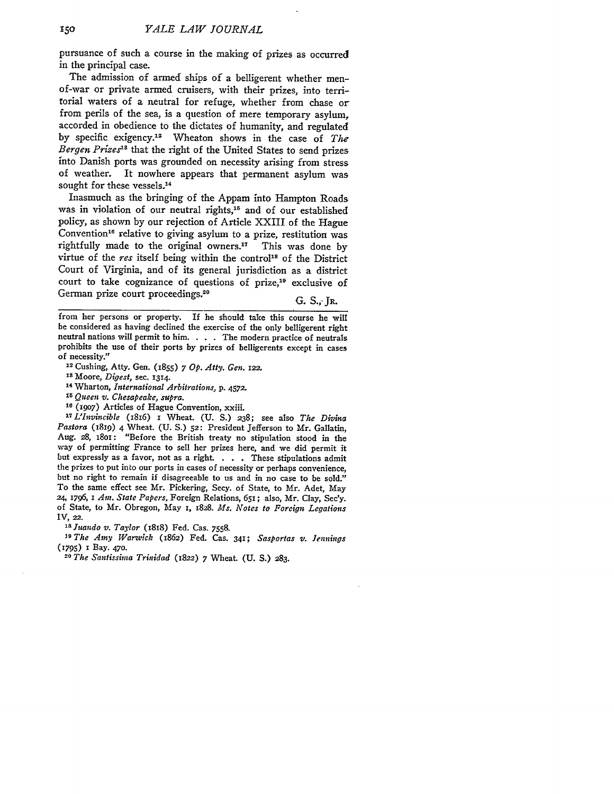pursuance of such a course in the making of prizes as occurred in the principal case.

The admission of armed ships of a belligerent whether menof-war or private armed cruisers, with their prizes, into territorial waters of a neutral for refuge, whether from chase or from perils of the sea, is a question of mere temporary asylum, accorded in obedience to the dictates of humanity, and regulated by specific exigency." Wheaton shows in the case of *The Bergen Prizes's* that the right of the United States to send prizes into Danish ports was grounded on necessity arising from stress of weather. It nowhere appears that permanent asylum was sought for these vessels.<sup>14</sup>

Inasmuch as the bringing of the Appam into Hampton Roads was in violation of our neutral rights,<sup>15</sup> and of our established policy, as shown by our rejection of Article XXIII of the Hague Convention<sup>16</sup> relative to giving asylum to a prize, restitution was rightfully made to the original owners." This was done by virtue of the *res* itself being within the control<sup>18</sup> of the District Court of Virginia, and of its general jurisdiction as a district court to take cognizance of questions of prize,<sup>19</sup> exclusive of German prize court proceedings.<sup>20</sup> G. S., JR.

**2 Cushing, Atty. Gen.** (1855) *7 Op. Atty. Gen.* 122.

**'4** Wharton, *International Arbitrations,* p. 4572.

*<sup>15</sup>*Queen v. *Chesapeake, supra.*

**<sup>16</sup>**(19o7) Articles of Hague Convention, xxiii.

*1L'Invncible* (1816) 1 Wheat. **(U.** S.) **238;** see also *The Divina Pastora* (I819) 4 Wheat. (U. S.) **52:** President Jefferson to Mr. Gallatin, Aug. 28, 1801: "Before the British treaty no stipulation stood in the way of permitting France to sell her prizes here, and we did permit **it** but expressly as a favor, not as a right. . **.** . These stipulations admit the prizes to put into our ports in cases of necessity or perhaps convenience, but no right to remain if disagreeable to us and in no case to be sold." To the same effect see Mr. Pickering, Secy. of State, to Mr. Adet, May 24, *1796,* 1 *Am. State Papers,* Foreign Relations, 651; also, Mr. Clay, Sec'y. of State, to Mr. Obregon, May 1, 1828. *Ms.* Notes *to Foreign Legations*

<sup>18</sup> *Juando v. Taylor* (1818) Fed. Cas. 7558.

**J9** *The Amy Warwick* (1862) Fed. Cas. **341;** *Sasportas v. Jennings* **(i795) 1** Bay. **470.**

*20 The Santissima Trinidad* (822) 7 Wheat. **(U.** S.) **283.**

from her persons or property. If he should take this course he will be considered as having declined the exercise of the only belligerent right neutral nations will permit to him. . **.** . The modern practice of neutrals prohibits the use of their ports by prizes of belligerents except in cases of necessity."

**<sup>&#</sup>x27;s** Moore, *Digest,* sec. **1314.**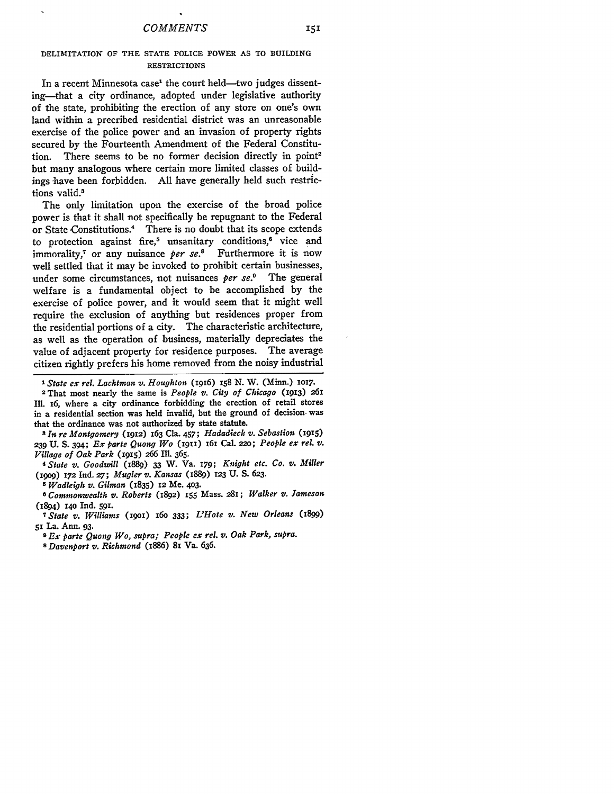# **DELIMITATION** OF THE **STATE** POLICE POWER **AS** TO BUILDING RESTRICTIONS

In a recent Minnesota case<sup>1</sup> the court held-two judges dissenting-that a city ordinance, adopted under legislative authority of the state, prohibiting the erection of any store on one's own land within a precribed residential district was an unreasonable exercise of the police power and an invasion of property rights secured by the Fourteenth Amendment of the Federal Constitution. There seems to be no former decision directly in point<sup>2</sup> but many analogous where certain more limited classes of buildings have been forbidden. All have generally held such restrictions valid.<sup>8</sup>

The only limitation upon the exercise of the broad police power is that it shall not specifically be repugnant to the Federal or State Constitutions.<sup>4</sup> There is no doubt that its scope extends to protection against fire,<sup>5</sup> unsanitary conditions,<sup>6</sup> vice and immorality,<sup>7</sup> or any nuisance *per se*.<sup>8</sup> Furthermore it is now well settled that it may be invoked to prohibit certain businesses, under some circumstances, not nuisances *per se.9* The general welfare is a fundamental object to be accomplished by the exercise of police power, and it would seem that it might well require the exclusion of anything but residences proper from the residential portions of a city. The characteristic architecture, as well as the operation of business, materially depreciates the value of adjacent property for residence purposes. The average citizen rightly prefers his home removed from the noisy industrial

*a In re Montgomery* (1912) 163 Cla. 457; *Hadadieck v. Sebastion (9,5)* **239 U. S.** 394; *Ex parte Quong Wo* **(1911)** *16i* Cal. **22o;** *People ex rel. v. Village of Oak Park* **(1915) 266** Ill. 365.

*4State v. Goodwill* (i889) 33 W. Va. **179;** *Knight etc. Co. v. Miller* **(igog)** 172 Ind. *27; Mugler v. Kansas* (1889) 123 U. S. *623.*

*5 Wadleigh v. Gilman* (1835) 12 Me. 403.

**0** *Commonwealth v. Roberts* (I892) **155** Mass. **281;** *Walker v. Jameson* (1894) **14o** Ind. **59.**

*7 State v. Williams (igoi)* **16o** *333; L'Hote v. New Orleans* (1899) **51** La. Ann. **93.**

*<sup>9</sup>Ex parte Quong Wo, supra; People ex rel. v. Oak Park, supra. <sup>8</sup>Davenport v. Richmond* (i886) **81** Va. 636.

*I State ex rel. Lachtman v. Houghton* **(1916)** 158 *N.* W. (Minn.) **ioi7.**

<sup>2</sup>That most nearly the same is *People v. City of Chicago* (1913) 261 Ill. **16,** where a city ordinance forbidding the erection of retail stores in a residential section was held invalid, but the ground of decision. was that the ordinance was not authorized **by** state statute.